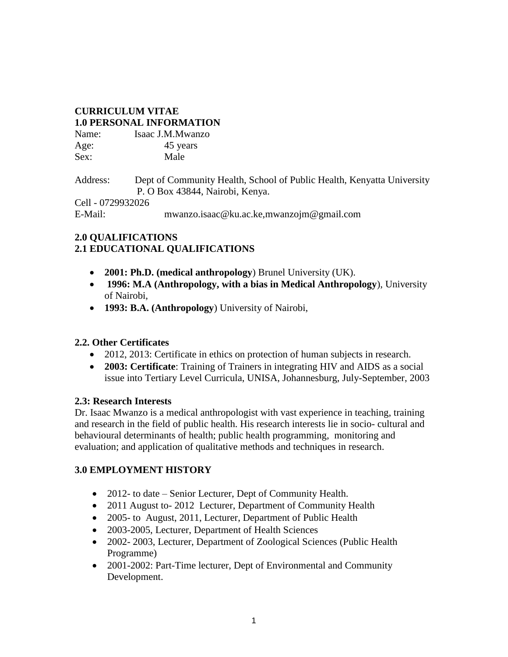## **CURRICULUM VITAE 1.0 PERSONAL INFORMATION**

| Name: | Isaac J.M.Mwanzo |
|-------|------------------|
| Age:  | 45 years         |
| Sex:  | Male             |

Address: Dept of Community Health, School of Public Health, Kenyatta University P. O Box 43844, Nairobi, Kenya.

Cell - 0729932026

E-Mail: mwanzo.isaac@ku.ac.ke,mwanzojm@gmail.com

## **2.0 QUALIFICATIONS 2.1 EDUCATIONAL QUALIFICATIONS**

- **2001: Ph.D. (medical anthropology**) Brunel University (UK).
- **1996: M.A (Anthropology, with a bias in Medical Anthropology**), University of Nairobi,
- **1993: B.A. (Anthropology**) University of Nairobi,

# **2.2. Other Certificates**

- 2012, 2013: Certificate in ethics on protection of human subjects in research.
- **2003: Certificate**: Training of Trainers in integrating HIV and AIDS as a social issue into Tertiary Level Curricula, UNISA, Johannesburg, July-September, 2003

# **2.3: Research Interests**

Dr. Isaac Mwanzo is a medical anthropologist with vast experience in teaching, training and research in the field of public health. His research interests lie in socio- cultural and behavioural determinants of health; public health programming, monitoring and evaluation; and application of qualitative methods and techniques in research.

# **3.0 EMPLOYMENT HISTORY**

- 2012- to date Senior Lecturer, Dept of Community Health.
- 2011 August to- 2012 Lecturer, Department of Community Health
- 2005- to August, 2011, Lecturer, Department of Public Health
- 2003-2005, Lecturer, Department of Health Sciences
- 2002- 2003, Lecturer, Department of Zoological Sciences (Public Health Programme)
- 2001-2002: Part-Time lecturer, Dept of Environmental and Community Development.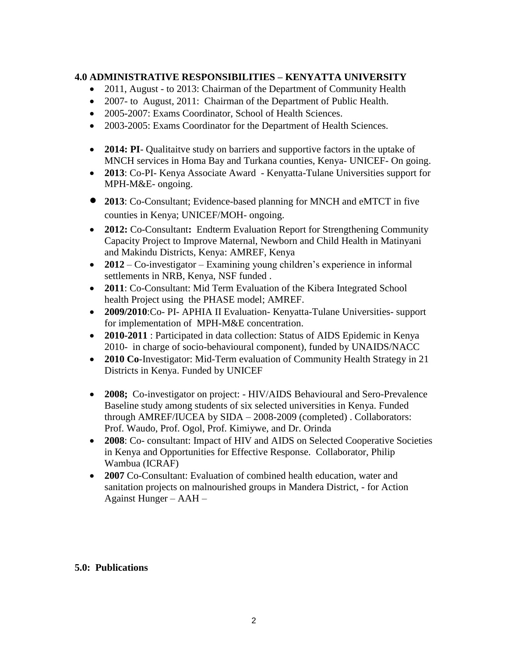## **4.0 ADMINISTRATIVE RESPONSIBILITIES – KENYATTA UNIVERSITY**

- 2011, August to 2013: Chairman of the Department of Community Health
- 2007- to August, 2011: Chairman of the Department of Public Health.
- 2005-2007: Exams Coordinator, School of Health Sciences.
- 2003-2005: Exams Coordinator for the Department of Health Sciences.
- **2014: PI** Qualitaitve study on barriers and supportive factors in the uptake of MNCH services in Homa Bay and Turkana counties, Kenya- UNICEF- On going.
- **2013**: Co-PI- Kenya Associate Award Kenyatta-Tulane Universities support for MPH-M&E- ongoing.
- **<sup>2013</sup>**: Co-Consultant; Evidence-based planning for MNCH and eMTCT in five counties in Kenya; UNICEF/MOH- ongoing.
- **2012:** Co-Consultant**:** Endterm Evaluation Report for Strengthening Community Capacity Project to Improve Maternal, Newborn and Child Health in Matinyani and Makindu Districts, Kenya: AMREF, Kenya
- **2012** Co-investigator Examining young children's experience in informal settlements in NRB, Kenya, NSF funded .
- **2011**: Co-Consultant: Mid Term Evaluation of the Kibera Integrated School health Project using the PHASE model; AMREF.
- **2009/2010**:Co- PI- APHIA II Evaluation- Kenyatta-Tulane Universities- support for implementation of MPH-M&E concentration.
- **2010-2011** : Participated in data collection: Status of AIDS Epidemic in Kenya 2010- in charge of socio-behavioural component), funded by UNAIDS/NACC
- **2010 Co**-Investigator: Mid-Term evaluation of Community Health Strategy in 21 Districts in Kenya. Funded by UNICEF
- **2008;** Co-investigator on project: HIV/AIDS Behavioural and Sero-Prevalence Baseline study among students of six selected universities in Kenya. Funded through AMREF/IUCEA by SIDA – 2008-2009 (completed) . Collaborators: Prof. Waudo, Prof. Ogol, Prof. Kimiywe, and Dr. Orinda
- **2008**: Co- consultant: Impact of HIV and AIDS on Selected Cooperative Societies in Kenya and Opportunities for Effective Response. Collaborator, Philip Wambua (ICRAF)
- **2007** Co-Consultant: Evaluation of combined health education, water and sanitation projects on malnourished groups in Mandera District, - for Action Against Hunger – AAH –

## **5.0: Publications**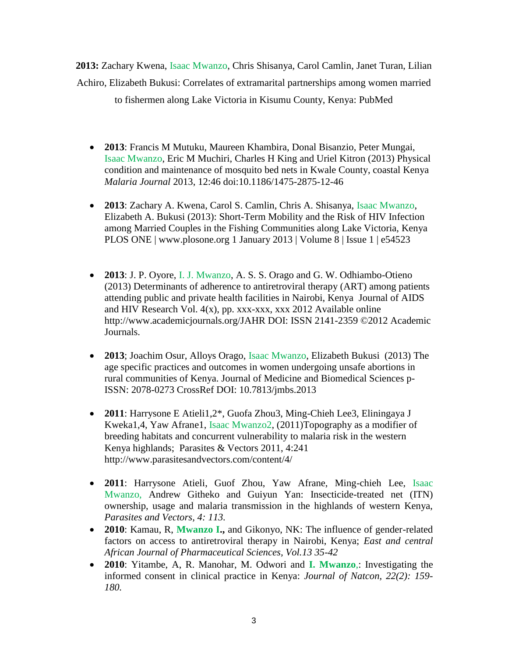**2013:** Zachary Kwena, Isaac Mwanzo, Chris Shisanya, Carol Camlin, Janet Turan, Lilian Achiro, Elizabeth Bukusi: Correlates of extramarital partnerships among women married

to fishermen along Lake Victoria in Kisumu County, Kenya: PubMed

- **2013**: Francis M Mutuku, Maureen Khambira, Donal Bisanzio, Peter Mungai, Isaac Mwanzo, Eric M Muchiri, Charles H King and Uriel Kitron (2013) Physical condition and maintenance of mosquito bed nets in Kwale County, coastal Kenya *Malaria Journal* 2013, 12:46 doi:10.1186/1475-2875-12-46
- **2013**: Zachary A. Kwena, Carol S. Camlin, Chris A. Shisanya, Isaac Mwanzo, Elizabeth A. Bukusi (2013): Short-Term Mobility and the Risk of HIV Infection among Married Couples in the Fishing Communities along Lake Victoria, Kenya PLOS ONE | www.plosone.org 1 January 2013 | Volume 8 | Issue 1 | e54523
- **2013**: J. P. Oyore, I. J. Mwanzo, A. S. S. Orago and G. W. Odhiambo-Otieno (2013) Determinants of adherence to antiretroviral therapy (ART) among patients attending public and private health facilities in Nairobi, Kenya Journal of AIDS and HIV Research Vol. 4(x), pp. xxx-xxx, xxx 2012 Available online http://www.academicjournals.org/JAHR DOI: ISSN 2141-2359 ©2012 Academic Journals.
- **2013**; Joachim Osur, Alloys Orago, Isaac Mwanzo, Elizabeth Bukusi (2013) The age specific practices and outcomes in women undergoing unsafe abortions in rural communities of Kenya. Journal of Medicine and Biomedical Sciences p-ISSN: 2078-0273 CrossRef DOI: 10.7813/jmbs.2013
- **2011**: Harrysone E Atieli1,2\*, Guofa Zhou3, Ming-Chieh Lee3, Eliningaya J Kweka1,4, Yaw Afrane1, Isaac Mwanzo2, (2011)Topography as a modifier of breeding habitats and concurrent vulnerability to malaria risk in the western Kenya highlands; Parasites & Vectors 2011, 4:241 http://www.parasitesandvectors.com/content/4/
- **2011**: Harrysone Atieli, Guof Zhou, Yaw Afrane, Ming-chieh Lee, Isaac Mwanzo, Andrew Githeko and Guiyun Yan: Insecticide-treated net (ITN) ownership, usage and malaria transmission in the highlands of western Kenya, *Parasites and Vectors, 4: 113.*
- **2010**: Kamau, R, **Mwanzo I.,** and Gikonyo, NK: The influence of gender-related factors on access to antiretroviral therapy in Nairobi, Kenya; *East and central African Journal of Pharmaceutical Sciences, Vol.13 35-42*
- **2010**: Yitambe, A, R. Manohar, M. Odwori and **I. Mwanzo**,: Investigating the informed consent in clinical practice in Kenya: *Journal of Natcon, 22(2): 159- 180.*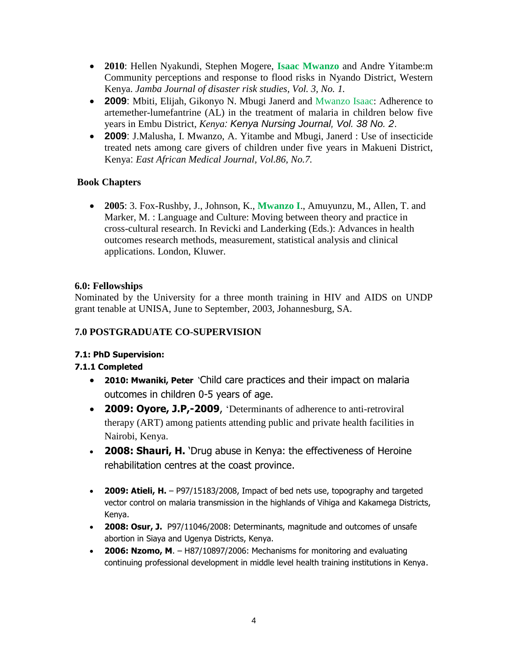- **2010**: Hellen Nyakundi, Stephen Mogere, **Isaac Mwanzo** and Andre Yitambe:m Community perceptions and response to flood risks in Nyando District, Western Kenya. *Jamba Journal of disaster risk studies, Vol. 3, No. 1.*
- **2009**: Mbiti, Elijah, Gikonyo N. Mbugi Janerd and Mwanzo Isaac: Adherence to artemether-lumefantrine (AL) in the treatment of malaria in children below five years in Embu District, *Kenya: Kenya Nursing Journal, Vol. 38 No. 2*.
- **2009**: J.Malusha, I. Mwanzo, A. Yitambe and Mbugi, Janerd : Use of insecticide treated nets among care givers of children under five years in Makueni District, Kenya: *East African Medical Journal, Vol.86, No.7.*

# **Book Chapters**

 **2005**: 3. Fox-Rushby, J., Johnson, K., **Mwanzo I**., Amuyunzu, M., Allen, T. and Marker, M. : Language and Culture: Moving between theory and practice in cross-cultural research. In Revicki and Landerking (Eds.): Advances in health outcomes research methods, measurement, statistical analysis and clinical applications. London, Kluwer.

# **6.0: Fellowships**

Nominated by the University for a three month training in HIV and AIDS on UNDP grant tenable at UNISA, June to September, 2003, Johannesburg, SA.

# **7.0 POSTGRADUATE CO-SUPERVISION**

# **7.1: PhD Supervision:**

## **7.1.1 Completed**

- **2010: Mwaniki, Peter** 'Child care practices and their impact on malaria outcomes in children 0-5 years of age.
- **2009: Oyore, J.P,-2009**, 'Determinants of adherence to anti-retroviral therapy (ART) among patients attending public and private health facilities in Nairobi, Kenya.
- **2008: Shauri, H.** 'Drug abuse in Kenya: the effectiveness of Heroine rehabilitation centres at the coast province.
- **2009: Atieli, H.** P97/15183/2008, Impact of bed nets use, topography and targeted vector control on malaria transmission in the highlands of Vihiga and Kakamega Districts, Kenya.
- **2008: Osur, J.** P97/11046/2008: Determinants, magnitude and outcomes of unsafe abortion in Siaya and Ugenya Districts, Kenya.
- **2006: Nzomo, M**. H87/10897/2006: Mechanisms for monitoring and evaluating continuing professional development in middle level health training institutions in Kenya.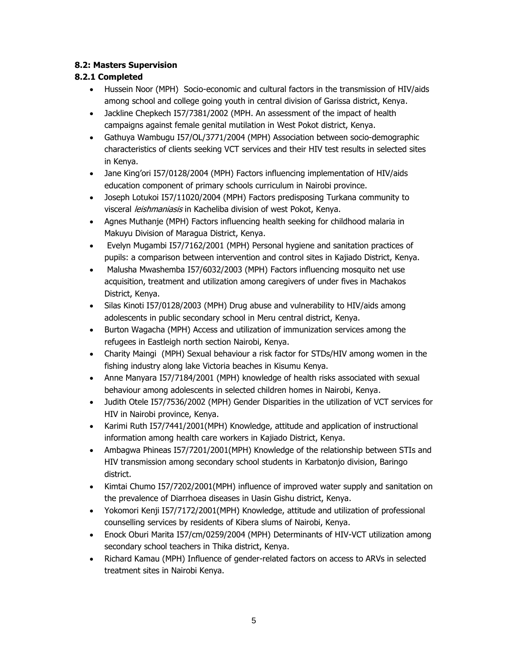### **8.2: Masters Supervision**

### **8.2.1 Completed**

- Hussein Noor (MPH) Socio-economic and cultural factors in the transmission of HIV/aids among school and college going youth in central division of Garissa district, Kenya.
- Jackline Chepkech I57/7381/2002 (MPH. An assessment of the impact of health campaigns against female genital mutilation in West Pokot district, Kenya.
- Gathuya Wambugu I57/OL/3771/2004 (MPH) Association between socio-demographic characteristics of clients seeking VCT services and their HIV test results in selected sites in Kenya.
- Jane King'ori I57/0128/2004 (MPH) Factors influencing implementation of HIV/aids education component of primary schools curriculum in Nairobi province.
- Joseph Lotukoi I57/11020/2004 (MPH) Factors predisposing Turkana community to visceral leishmaniasis in Kacheliba division of west Pokot, Kenya.
- Agnes Muthanje (MPH) Factors influencing health seeking for childhood malaria in Makuyu Division of Maragua District, Kenya.
- Evelyn Mugambi I57/7162/2001 (MPH) Personal hygiene and sanitation practices of pupils: a comparison between intervention and control sites in Kajiado District, Kenya.
- Malusha Mwashemba I57/6032/2003 (MPH) Factors influencing mosquito net use acquisition, treatment and utilization among caregivers of under fives in Machakos District, Kenya.
- Silas Kinoti I57/0128/2003 (MPH) Drug abuse and vulnerability to HIV/aids among adolescents in public secondary school in Meru central district, Kenya.
- Burton Wagacha (MPH) Access and utilization of immunization services among the refugees in Eastleigh north section Nairobi, Kenya.
- Charity Maingi (MPH) Sexual behaviour a risk factor for STDs/HIV among women in the fishing industry along lake Victoria beaches in Kisumu Kenya.
- Anne Manyara I57/7184/2001 (MPH) knowledge of health risks associated with sexual behaviour among adolescents in selected children homes in Nairobi, Kenya.
- Judith Otele I57/7536/2002 (MPH) Gender Disparities in the utilization of VCT services for HIV in Nairobi province, Kenya.
- Karimi Ruth I57/7441/2001(MPH) Knowledge, attitude and application of instructional information among health care workers in Kajiado District, Kenya.
- Ambagwa Phineas I57/7201/2001(MPH) Knowledge of the relationship between STIs and HIV transmission among secondary school students in Karbatonjo division, Baringo district.
- Kimtai Chumo I57/7202/2001(MPH) influence of improved water supply and sanitation on the prevalence of Diarrhoea diseases in Uasin Gishu district, Kenya.
- Yokomori Kenji I57/7172/2001(MPH) Knowledge, attitude and utilization of professional counselling services by residents of Kibera slums of Nairobi, Kenya.
- Enock Oburi Marita I57/cm/0259/2004 (MPH) Determinants of HIV-VCT utilization among secondary school teachers in Thika district, Kenya.
- Richard Kamau (MPH) Influence of gender-related factors on access to ARVs in selected treatment sites in Nairobi Kenya.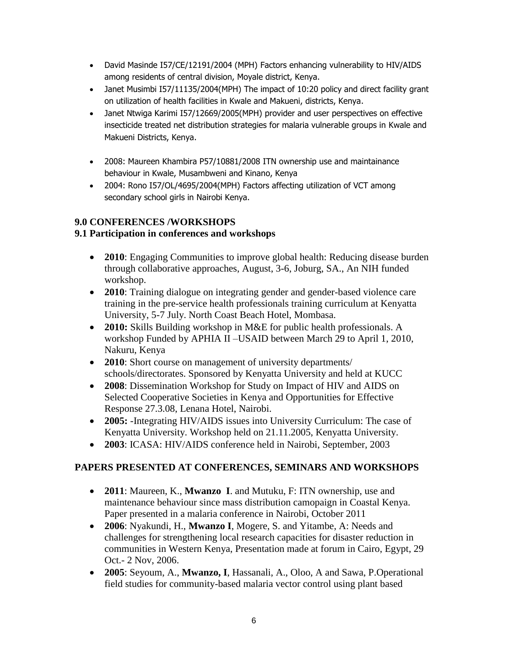- David Masinde I57/CE/12191/2004 (MPH) Factors enhancing vulnerability to HIV/AIDS among residents of central division, Moyale district, Kenya.
- Janet Musimbi I57/11135/2004(MPH) The impact of 10:20 policy and direct facility grant on utilization of health facilities in Kwale and Makueni, districts, Kenya.
- Janet Ntwiga Karimi I57/12669/2005(MPH) provider and user perspectives on effective insecticide treated net distribution strategies for malaria vulnerable groups in Kwale and Makueni Districts, Kenya.
- 2008: Maureen Khambira P57/10881/2008 ITN ownership use and maintainance behaviour in Kwale, Musambweni and Kinano, Kenya
- 2004: Rono I57/OL/4695/2004(MPH) Factors affecting utilization of VCT among secondary school girls in Nairobi Kenya.

# **9.0 CONFERENCES /WORKSHOPS**

# **9.1 Participation in conferences and workshops**

- **2010**: Engaging Communities to improve global health: Reducing disease burden through collaborative approaches, August, 3-6, Joburg, SA., An NIH funded workshop.
- **2010**: Training dialogue on integrating gender and gender-based violence care training in the pre-service health professionals training curriculum at Kenyatta University, 5-7 July. North Coast Beach Hotel, Mombasa.
- **2010:** Skills Building workshop in M&E for public health professionals. A workshop Funded by APHIA II –USAID between March 29 to April 1, 2010, Nakuru, Kenya
- **2010**: Short course on management of university departments/ schools/directorates. Sponsored by Kenyatta University and held at KUCC
- **2008**: Dissemination Workshop for Study on Impact of HIV and AIDS on Selected Cooperative Societies in Kenya and Opportunities for Effective Response 27.3.08, Lenana Hotel, Nairobi.
- **2005:** -Integrating HIV/AIDS issues into University Curriculum: The case of Kenyatta University. Workshop held on 21.11.2005, Kenyatta University.
- **2003**: ICASA: HIV/AIDS conference held in Nairobi, September, 2003

# **PAPERS PRESENTED AT CONFERENCES, SEMINARS AND WORKSHOPS**

- **2011**: Maureen, K., **Mwanzo I**. and Mutuku, F: ITN ownership, use and maintenance behaviour since mass distribution camopaign in Coastal Kenya. Paper presented in a malaria conference in Nairobi, October 2011
- **2006**: Nyakundi, H., **Mwanzo I**, Mogere, S. and Yitambe, A: Needs and challenges for strengthening local research capacities for disaster reduction in communities in Western Kenya, Presentation made at forum in Cairo, Egypt, 29 Oct.- 2 Nov, 2006.
- **2005**: Seyoum, A., **Mwanzo, I**, Hassanali, A., Oloo, A and Sawa, P.Operational field studies for community-based malaria vector control using plant based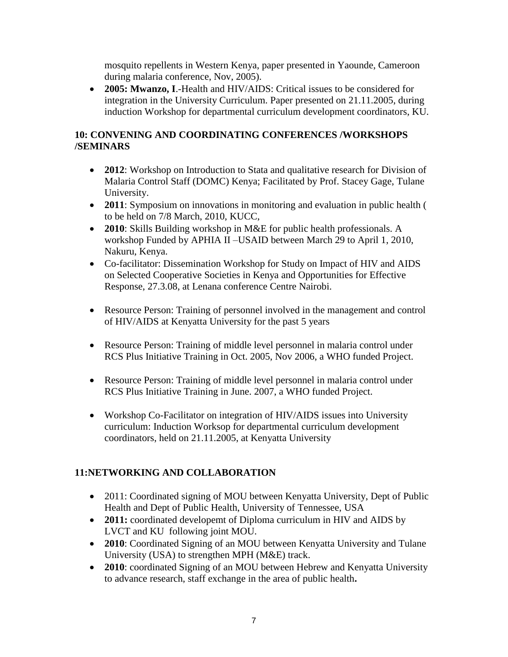mosquito repellents in Western Kenya, paper presented in Yaounde, Cameroon during malaria conference, Nov, 2005).

 **2005: Mwanzo, I**.-Health and HIV/AIDS: Critical issues to be considered for integration in the University Curriculum. Paper presented on 21.11.2005, during induction Workshop for departmental curriculum development coordinators, KU.

# **10: CONVENING AND COORDINATING CONFERENCES /WORKSHOPS /SEMINARS**

- **2012**: Workshop on Introduction to Stata and qualitative research for Division of Malaria Control Staff (DOMC) Kenya; Facilitated by Prof. Stacey Gage, Tulane University.
- **2011**: Symposium on innovations in monitoring and evaluation in public health ( to be held on 7/8 March, 2010, KUCC,
- **2010**: Skills Building workshop in M&E for public health professionals. A workshop Funded by APHIA II –USAID between March 29 to April 1, 2010, Nakuru, Kenya.
- Co-facilitator: Dissemination Workshop for Study on Impact of HIV and AIDS on Selected Cooperative Societies in Kenya and Opportunities for Effective Response, 27.3.08, at Lenana conference Centre Nairobi.
- Resource Person: Training of personnel involved in the management and control of HIV/AIDS at Kenyatta University for the past 5 years
- Resource Person: Training of middle level personnel in malaria control under RCS Plus Initiative Training in Oct. 2005, Nov 2006, a WHO funded Project.
- Resource Person: Training of middle level personnel in malaria control under RCS Plus Initiative Training in June. 2007, a WHO funded Project.
- Workshop Co-Facilitator on integration of HIV/AIDS issues into University curriculum: Induction Worksop for departmental curriculum development coordinators, held on 21.11.2005, at Kenyatta University

# **11:NETWORKING AND COLLABORATION**

- 2011: Coordinated signing of MOU between Kenyatta University, Dept of Public Health and Dept of Public Health, University of Tennessee, USA
- **2011:** coordinated developemt of Diploma curriculum in HIV and AIDS by LVCT and KU following joint MOU.
- **2010**: Coordinated Signing of an MOU between Kenyatta University and Tulane University (USA) to strengthen MPH (M&E) track.
- **2010**: coordinated Signing of an MOU between Hebrew and Kenyatta University to advance research, staff exchange in the area of public health**.**